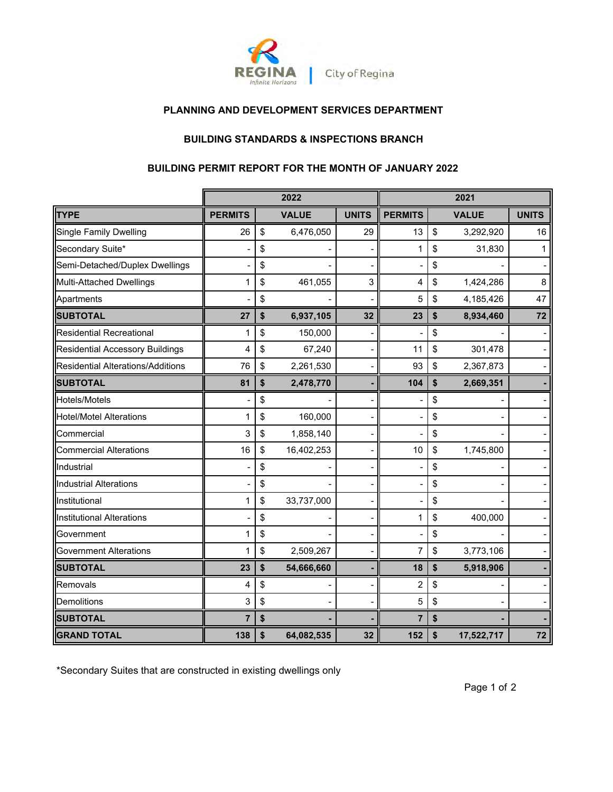

# **PLANNING AND DEVELOPMENT SERVICES DEPARTMENT**

### **BUILDING STANDARDS & INSPECTIONS BRANCH**

# **BUILDING PERMIT REPORT FOR THE MONTH OF JANUARY 2022**

|                                          |                | 2022             | 2021         |                |    |              |              |
|------------------------------------------|----------------|------------------|--------------|----------------|----|--------------|--------------|
| TYPE                                     | <b>PERMITS</b> | <b>VALUE</b>     | <b>UNITS</b> | <b>PERMITS</b> |    | <b>VALUE</b> | <b>UNITS</b> |
| <b>Single Family Dwelling</b>            | 26             | \$<br>6,476,050  | 29           | 13             | \$ | 3,292,920    | 16           |
| Secondary Suite*                         |                | \$               |              | 1              | \$ | 31,830       | 1            |
| Semi-Detached/Duplex Dwellings           |                | \$               |              |                | \$ |              |              |
| Multi-Attached Dwellings                 | 1              | \$<br>461,055    | 3            | 4              | \$ | 1,424,286    | 8            |
| Apartments                               |                | \$               |              | 5              | \$ | 4,185,426    | 47           |
| <b>SUBTOTAL</b>                          | 27             | \$<br>6,937,105  | 32           | 23             | \$ | 8,934,460    | 72           |
| <b>Residential Recreational</b>          | 1              | \$<br>150,000    |              |                | \$ |              |              |
| <b>Residential Accessory Buildings</b>   | 4              | \$<br>67,240     |              | 11             | \$ | 301,478      |              |
| <b>Residential Alterations/Additions</b> | 76             | \$<br>2,261,530  |              | 93             | \$ | 2,367,873    |              |
| <b>SUBTOTAL</b>                          | 81             | \$<br>2,478,770  |              | 104            | \$ | 2,669,351    |              |
| Hotels/Motels                            |                | \$               |              |                | \$ |              |              |
| <b>Hotel/Motel Alterations</b>           | 1              | \$<br>160,000    |              |                | \$ |              |              |
| Commercial                               | 3              | \$<br>1,858,140  |              |                | \$ |              |              |
| <b>Commercial Alterations</b>            | 16             | \$<br>16,402,253 |              | 10             | \$ | 1,745,800    |              |
| Industrial                               |                | \$               |              |                | \$ |              |              |
| Industrial Alterations                   |                | \$               |              |                | \$ |              |              |
| Institutional                            | 1              | \$<br>33,737,000 |              |                | \$ |              |              |
| Institutional Alterations                |                | \$               |              | 1              | \$ | 400,000      |              |
| Government                               | 1              | \$               |              |                | \$ |              |              |
| <b>Government Alterations</b>            | 1              | \$<br>2,509,267  |              | 7              | \$ | 3,773,106    |              |
| <b>SUBTOTAL</b>                          | 23             | \$<br>54,666,660 |              | 18             | \$ | 5,918,906    |              |
| Removals                                 | 4              | \$               |              | $\overline{2}$ | \$ |              |              |
| Demolitions                              | 3              | \$               |              | 5              | \$ |              |              |
| <b>SUBTOTAL</b>                          | 7              | \$               |              | 7              | \$ |              |              |
| <b>GRAND TOTAL</b>                       | 138            | \$<br>64,082,535 | 32           | 152            | \$ | 17,522,717   | 72           |

\*Secondary Suites that are constructed in existing dwellings only

Page 1 of 2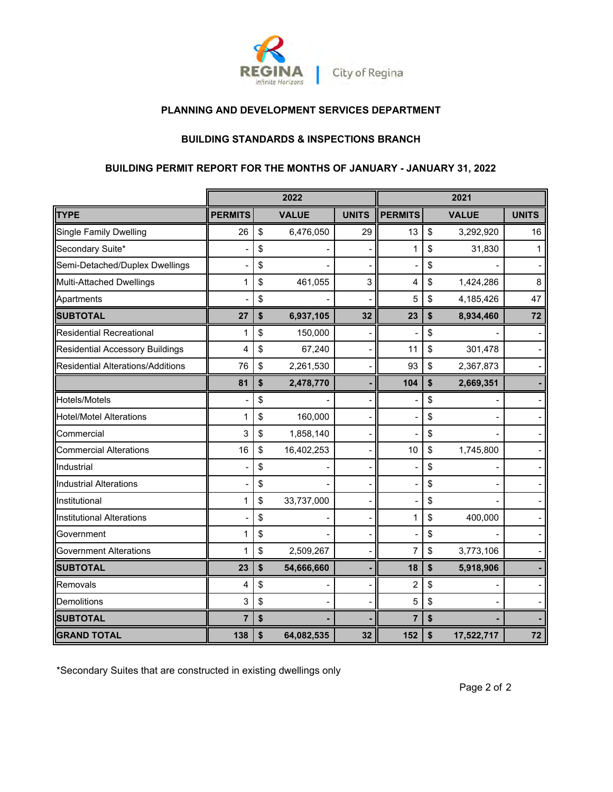

# **PLANNING AND DEVELOPMENT SERVICES DEPARTMENT**

#### **BUILDING STANDARDS & INSPECTIONS BRANCH**

# **BUILDING PERMIT REPORT FOR THE MONTHS OF JANUARY - JANUARY 31, 2022**

|                                   | 2022           |    |              |              | 2021           |    |              |              |  |
|-----------------------------------|----------------|----|--------------|--------------|----------------|----|--------------|--------------|--|
| TYPE                              | <b>PERMITS</b> |    | <b>VALUE</b> | <b>UNITS</b> | <b>PERMITS</b> |    | <b>VALUE</b> | <b>UNITS</b> |  |
| <b>Single Family Dwelling</b>     | 26             | \$ | 6,476,050    | 29           | 13             | \$ | 3,292,920    | 16           |  |
| Secondary Suite*                  |                | \$ |              |              | $\mathbf{1}$   | \$ | 31,830       | 1            |  |
| Semi-Detached/Duplex Dwellings    |                | \$ |              |              |                | \$ |              |              |  |
| Multi-Attached Dwellings          | 1              | \$ | 461,055      | 3            | 4              | \$ | 1,424,286    | 8            |  |
| Apartments                        |                | \$ |              |              | 5              | \$ | 4,185,426    | 47           |  |
| <b>SUBTOTAL</b>                   | 27             | \$ | 6,937,105    | 32           | 23             | \$ | 8,934,460    | 72           |  |
| <b>Residential Recreational</b>   | 1              | \$ | 150,000      |              |                | \$ |              |              |  |
| Residential Accessory Buildings   | 4              | \$ | 67,240       |              | 11             | \$ | 301,478      |              |  |
| Residential Alterations/Additions | 76             | \$ | 2,261,530    | -            | 93             | \$ | 2,367,873    |              |  |
|                                   | 81             | \$ | 2,478,770    |              | 104            | \$ | 2,669,351    |              |  |
| Hotels/Motels                     |                | \$ |              |              |                | \$ |              |              |  |
| <b>Hotel/Motel Alterations</b>    | 1              | \$ | 160,000      |              |                | \$ |              |              |  |
| Commercial                        | 3              | \$ | 1,858,140    |              |                | \$ |              |              |  |
| <b>Commercial Alterations</b>     | 16             | \$ | 16,402,253   |              | 10             | \$ | 1,745,800    |              |  |
| Industrial                        |                | \$ |              |              |                | \$ |              |              |  |
| Industrial Alterations            |                | \$ |              |              |                | \$ |              |              |  |
| Institutional                     | 1              | \$ | 33,737,000   |              |                | \$ |              |              |  |
| Institutional Alterations         |                | \$ |              |              | 1              | \$ | 400,000      |              |  |
| Government                        | 1              | \$ |              |              |                | \$ |              |              |  |
| <b>Government Alterations</b>     | 1              | \$ | 2,509,267    |              | 7              | \$ | 3,773,106    |              |  |
| <b>SUBTOTAL</b>                   | 23             | \$ | 54,666,660   |              | 18             | \$ | 5,918,906    |              |  |
| Removals                          | 4              | \$ |              |              | $\overline{c}$ | \$ |              |              |  |
| Demolitions                       | 3              | \$ |              |              | 5              | \$ |              |              |  |
| <b>SUBTOTAL</b>                   | $\overline{7}$ | \$ |              |              | 7              | \$ |              |              |  |
| <b>GRAND TOTAL</b>                | 138            | \$ | 64,082,535   | 32           | 152            | \$ | 17,522,717   | $72$         |  |

\*Secondary Suites that are constructed in existing dwellings only

Page 2 of 2